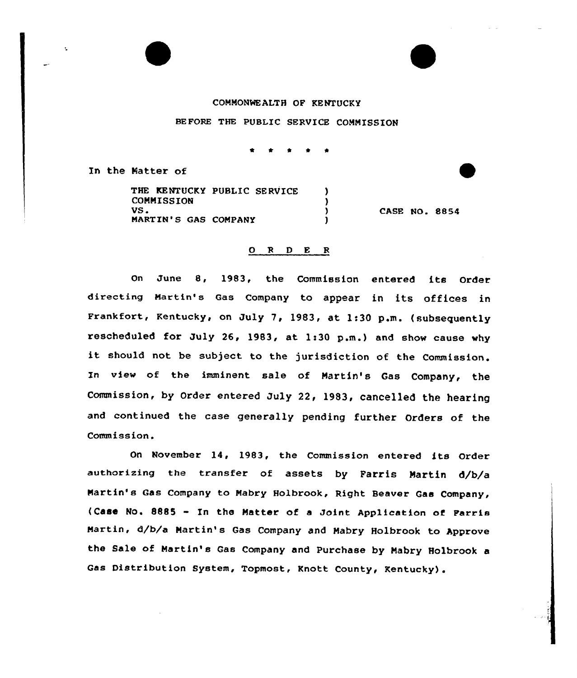## COMMONWEALTH OF KENTUCKY

BEFORE THE PUBLIC SERVICE COMMISSION

\* <sup>4</sup> <sup>4</sup> \*

In the Natter of

THE KENTUCKY PUBLIC SERVICE ) COMMISSION (1)  $VS<sub>z</sub>$ MARTIN'S GAS COMPANY  $\overrightarrow{)}$ 

CASE NO. 8854

## 0 <sup>R</sup> <sup>D</sup> E <sup>R</sup>

On June 8, 1983, the Commission entered its Order directing Martin's Gas Company to appear in its offices in Frankfort, Kentucky, on July 7, 1983, at 1:30 p.m. (subsequently rescheduled for July 26, 1983, at 1:30 p.m.) and show cause why it should not be subject to the jurisdiction of the Commission. In view of the imminent sale of Martin's Gas Company, the Commission, by Order entered July 22, 1983, cancelled the hearing and continued the case generally pending further Orders of the Commission.

On November 14, 1983, the Commission entered its Order authorizing the transfer of assets by Farris Martin d/b/a Martin's Gas Company to Mabry Holbrook, Right Beaver Gas Company, (Case No. <sup>8885</sup> - In the Matter of <sup>a</sup> Joint Application of Farris Martin, d/b/a Martin's Gas Company and Mabry Holbrook to Approve the Sale of Martin's Gas Company and Purchase by Mabry Holbrook <sup>a</sup> Gas Distribution System, Topmost, Knott County, Kentucky).